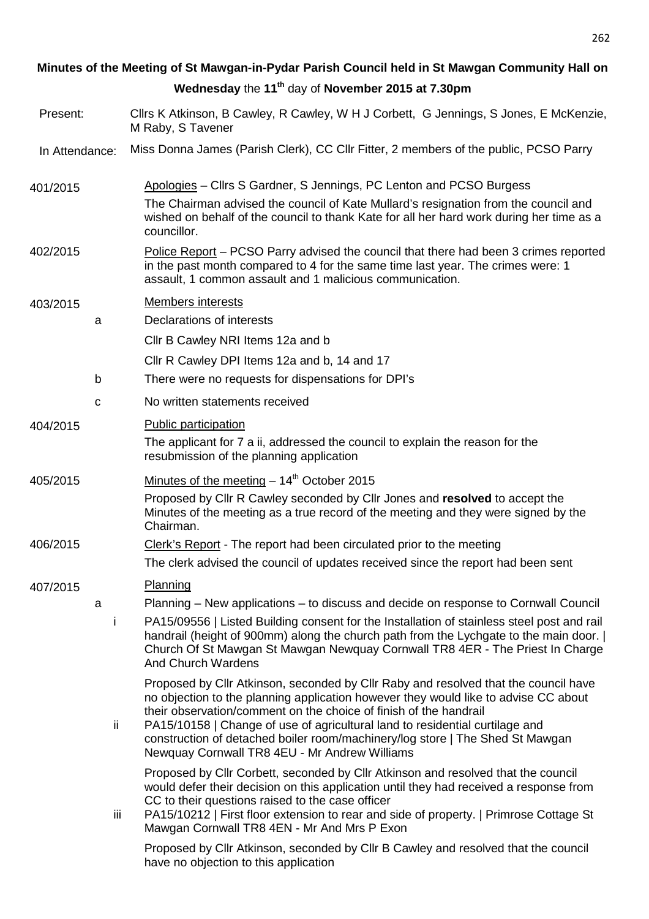# **Minutes of the Meeting of St Mawgan-in-Pydar Parish Council held in St Mawgan Community Hall on Wednesday** the **11th** day of **November 2015 at 7.30pm**

- Present: Cllrs K Atkinson, B Cawley, R Cawley, W H J Corbett, G Jennings, S Jones, E McKenzie, M Raby, S Tavener
- In Attendance: Miss Donna James (Parish Clerk), CC Cllr Fitter, 2 members of the public, PCSO Parry

401/2015 Apologies – Cllrs S Gardner, S Jennings, PC Lenton and PCSO Burgess The Chairman advised the council of Kate Mullard's resignation from the council and wished on behalf of the council to thank Kate for all her hard work during her time as a councillor.

402/2015 Police Report – PCSO Parry advised the council that there had been 3 crimes reported in the past month compared to 4 for the same time last year. The crimes were: 1 assault, 1 common assault and 1 malicious communication.

# 403/2015 Members interests

a Declarations of interests

Cllr B Cawley NRI Items 12a and b

- Cllr R Cawley DPI Items 12a and b, 14 and 17
- b There were no requests for dispensations for DPI's
- c No written statements received

### 404/2015 Public participation

The applicant for 7 a ii, addressed the council to explain the reason for the resubmission of the planning application

# $405/2015$  Minutes of the meeting  $-14<sup>th</sup>$  October 2015

Proposed by Cllr R Cawley seconded by Cllr Jones and **resolved** to accept the Minutes of the meeting as a true record of the meeting and they were signed by the Chairman.

## 406/2015 Clerk's Report - The report had been circulated prior to the meeting

The clerk advised the council of updates received since the report had been sent

# 407/2015 Planning

- a Planning New applications to discuss and decide on response to Cornwall Council
	- i PA15/09556 | Listed Building consent for the Installation of stainless steel post and rail handrail (height of 900mm) along the church path from the Lychgate to the main door.  $\vert$ Church Of St Mawgan St Mawgan Newquay Cornwall TR8 4ER - The Priest In Charge And Church Wardens

Proposed by Cllr Atkinson, seconded by Cllr Raby and resolved that the council have no objection to the planning application however they would like to advise CC about their observation/comment on the choice of finish of the handrail

ii PA15/10158 | Change of use of agricultural land to residential curtilage and construction of detached boiler room/machinery/log store | The Shed St Mawgan Newquay Cornwall TR8 4EU - Mr Andrew Williams

Proposed by Cllr Corbett, seconded by Cllr Atkinson and resolved that the council would defer their decision on this application until they had received a response from CC to their questions raised to the case officer

iii PA15/10212 | First floor extension to rear and side of property. | Primrose Cottage St Mawgan Cornwall TR8 4EN - Mr And Mrs P Exon

Proposed by Cllr Atkinson, seconded by Cllr B Cawley and resolved that the council have no objection to this application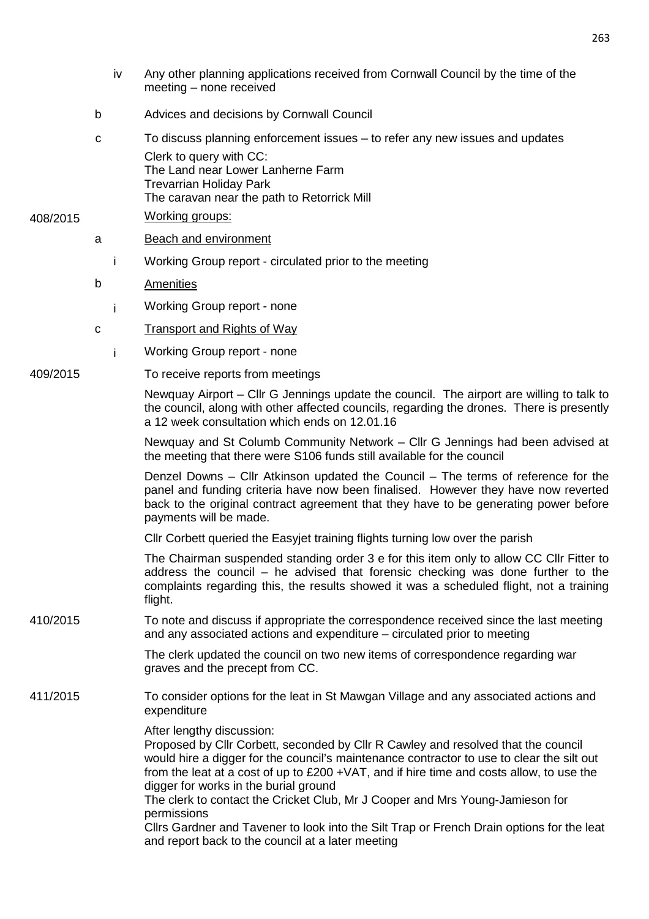- iv Any other planning applications received from Cornwall Council by the time of the meeting – none received
- b Advices and decisions by Cornwall Council
- c To discuss planning enforcement issues to refer any new issues and updates Clerk to query with CC: The Land near Lower Lanherne Farm Trevarrian Holiday Park The caravan near the path to Retorrick Mill

### 408/2015 Working groups:

- a Beach and environment
	- i Working Group report circulated prior to the meeting
- b Amenities
- i Working Group report none
- c Transport and Rights of Way
- i Working Group report none

## 409/2015 To receive reports from meetings

Newquay Airport – Cllr G Jennings update the council. The airport are willing to talk to the council, along with other affected councils, regarding the drones. There is presently a 12 week consultation which ends on 12.01.16

Newquay and St Columb Community Network – Cllr G Jennings had been advised at the meeting that there were S106 funds still available for the council

Denzel Downs – Cllr Atkinson updated the Council – The terms of reference for the panel and funding criteria have now been finalised. However they have now reverted back to the original contract agreement that they have to be generating power before payments will be made.

Cllr Corbett queried the Easyjet training flights turning low over the parish

The Chairman suspended standing order 3 e for this item only to allow CC Cllr Fitter to address the council – he advised that forensic checking was done further to the complaints regarding this, the results showed it was a scheduled flight, not a training flight.

410/2015 To note and discuss if appropriate the correspondence received since the last meeting and any associated actions and expenditure – circulated prior to meeting

> The clerk updated the council on two new items of correspondence regarding war graves and the precept from CC.

411/2015 To consider options for the leat in St Mawgan Village and any associated actions and expenditure

After lengthy discussion:

Proposed by Cllr Corbett, seconded by Cllr R Cawley and resolved that the council would hire a digger for the council's maintenance contractor to use to clear the silt out from the leat at a cost of up to £200 +VAT, and if hire time and costs allow, to use the digger for works in the burial ground

The clerk to contact the Cricket Club, Mr J Cooper and Mrs Young-Jamieson for permissions

Cllrs Gardner and Tavener to look into the Silt Trap or French Drain options for the leat and report back to the council at a later meeting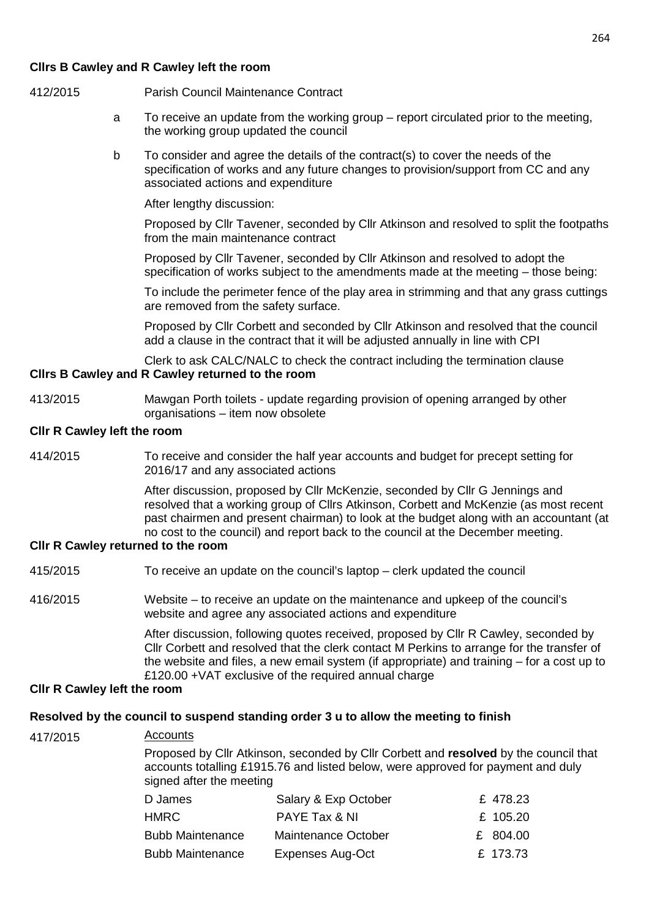### **Cllrs B Cawley and R Cawley left the room**

- 412/2015 Parish Council Maintenance Contract
	- a To receive an update from the working group report circulated prior to the meeting, the working group updated the council
	- b To consider and agree the details of the contract(s) to cover the needs of the specification of works and any future changes to provision/support from CC and any associated actions and expenditure

After lengthy discussion:

Proposed by Cllr Tavener, seconded by Cllr Atkinson and resolved to split the footpaths from the main maintenance contract

Proposed by Cllr Tavener, seconded by Cllr Atkinson and resolved to adopt the specification of works subject to the amendments made at the meeting – those being:

To include the perimeter fence of the play area in strimming and that any grass cuttings are removed from the safety surface.

Proposed by Cllr Corbett and seconded by Cllr Atkinson and resolved that the council add a clause in the contract that it will be adjusted annually in line with CPI

Clerk to ask CALC/NALC to check the contract including the termination clause

# **Cllrs B Cawley and R Cawley returned to the room**

413/2015 Mawgan Porth toilets - update regarding provision of opening arranged by other organisations – item now obsolete

#### **Cllr R Cawley left the room**

414/2015 To receive and consider the half year accounts and budget for precept setting for 2016/17 and any associated actions

> After discussion, proposed by Cllr McKenzie, seconded by Cllr G Jennings and resolved that a working group of Cllrs Atkinson, Corbett and McKenzie (as most recent past chairmen and present chairman) to look at the budget along with an accountant (at no cost to the council) and report back to the council at the December meeting.

#### **Cllr R Cawley returned to the room**

- 415/2015 To receive an update on the council's laptop clerk updated the council
- 416/2015 Website to receive an update on the maintenance and upkeep of the council's website and agree any associated actions and expenditure

After discussion, following quotes received, proposed by Cllr R Cawley, seconded by Cllr Corbett and resolved that the clerk contact M Perkins to arrange for the transfer of the website and files, a new email system (if appropriate) and training – for a cost up to £120.00 + VAT exclusive of the required annual charge

#### **Cllr R Cawley left the room**

#### **Resolved by the council to suspend standing order 3 u to allow the meeting to finish**

# 417/2015 Accounts Proposed by Cllr Atkinson, seconded by Cllr Corbett and **resolved** by the council that accounts totalling £1915.76 and listed below, were approved for payment and duly signed after the meeting D James Salary & Exp October E 478.23  $HMRC$  PAYE Tax & NI  $E$  105.20

| HMRC .                  | PAYE Tax & NL       | £ 105.20 |
|-------------------------|---------------------|----------|
| <b>Bubb Maintenance</b> | Maintenance October | £ 804.00 |
| <b>Bubb Maintenance</b> | Expenses Aug-Oct    | £ 173.73 |